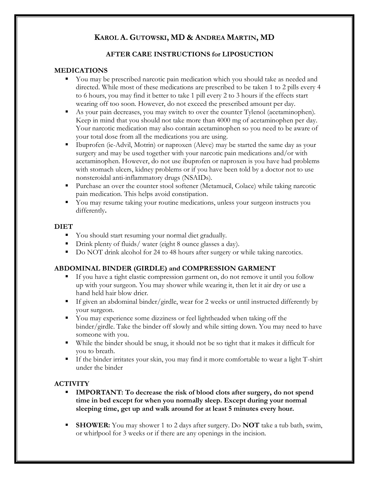# **KAROL A. GUTOWSKI, MD & ANDREA MARTIN, MD**

## **AFTER CARE INSTRUCTIONS for LIPOSUCTION**

#### **MEDICATIONS**

- You may be prescribed narcotic pain medication which you should take as needed and directed. While most of these medications are prescribed to be taken 1 to 2 pills every 4 to 6 hours, you may find it better to take 1 pill every 2 to 3 hours if the effects start wearing off too soon. However, do not exceed the prescribed amount per day.
- As your pain decreases, you may switch to over the counter Tylenol (acetaminophen). Keep in mind that you should not take more than 4000 mg of acetaminophen per day. Your narcotic medication may also contain acetaminophen so you need to be aware of your total dose from all the medications you are using.
- Ibuprofen (ie-Advil, Motrin) or naproxen (Aleve) may be started the same day as your surgery and may be used together with your narcotic pain medications and/or with acetaminophen. However, do not use ibuprofen or naproxen is you have had problems with stomach ulcers, kidney problems or if you have been told by a doctor not to use nonsteroidal anti-inflammatory drugs (NSAIDs).
- Purchase an over the counter stool softener (Metamucil, Colace) while taking narcotic pain medication. This helps avoid constipation.
- You may resume taking your routine medications, unless your surgeon instructs you differently**.**

#### **DIET**

- You should start resuming your normal diet gradually.
- **•** Drink plenty of fluids/ water (eight 8 ounce glasses a day).
- Do NOT drink alcohol for 24 to 48 hours after surgery or while taking narcotics.

## **ABDOMINAL BINDER (GIRDLE) and COMPRESSION GARMENT**

- If you have a tight elastic compression garment on, do not remove it until you follow up with your surgeon. You may shower while wearing it, then let it air dry or use a hand held hair blow drier.
- If given an abdominal binder/girdle, wear for 2 weeks or until instructed differently by your surgeon.
- You may experience some dizziness or feel lightheaded when taking off the binder/girdle. Take the binder off slowly and while sitting down. You may need to have someone with you.
- While the binder should be snug, it should not be so tight that it makes it difficult for you to breath.
- If the binder irritates your skin, you may find it more comfortable to wear a light T-shirt under the binder

## **ACTIVITY**

- **IMPORTANT: To decrease the risk of blood clots after surgery, do not spend time in bed except for when you normally sleep. Except during your normal sleeping time, get up and walk around for at least 5 minutes every hour.**
- **SHOWER:** You may shower 1 to 2 days after surgery. Do **NOT** take a tub bath, swim, or whirlpool for 3 weeks or if there are any openings in the incision.